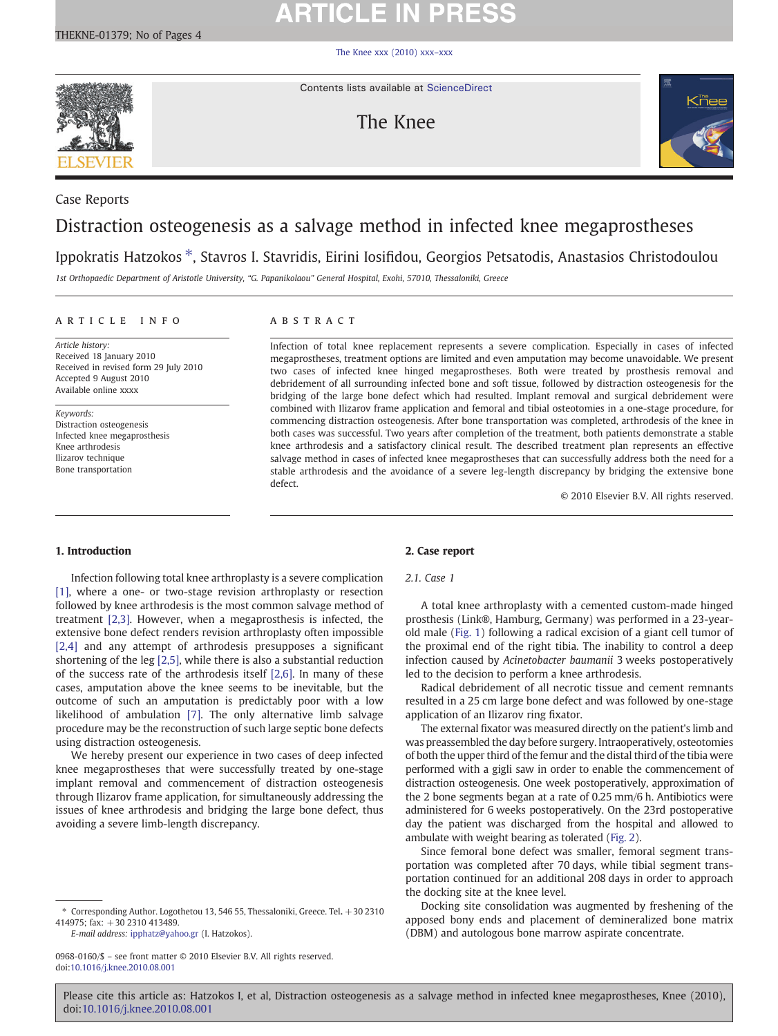# **ARTICLE IN PRESS**

[The Knee xxx \(2010\) xxx](http://dx.doi.org/10.1016/j.knee.2010.08.001)–xxx



Contents lists available at [ScienceDirect](http://www.sciencedirect.com/science/journal/09680160)

## The Knee



# Case Reports

## Distraction osteogenesis as a salvage method in infected knee megaprostheses

## Ippokratis Hatzokos ⁎, Stavros I. Stavridis, Eirini Iosifidou, Georgios Petsatodis, Anastasios Christodoulou

1st Orthopaedic Department of Aristotle University, "G. Papanikolaou" General Hospital, Exohi, 57010, Thessaloniki, Greece

### article info abstract

Article history: Received 18 January 2010 Received in revised form 29 July 2010 Accepted 9 August 2010 Available online xxxx

Keywords: Distraction osteogenesis Infected knee megaprosthesis Knee arthrodesis Ilizarov technique Bone transportation

Infection of total knee replacement represents a severe complication. Especially in cases of infected megaprostheses, treatment options are limited and even amputation may become unavoidable. We present two cases of infected knee hinged megaprostheses. Both were treated by prosthesis removal and debridement of all surrounding infected bone and soft tissue, followed by distraction osteogenesis for the bridging of the large bone defect which had resulted. Implant removal and surgical debridement were combined with Ilizarov frame application and femoral and tibial osteotomies in a one-stage procedure, for commencing distraction osteogenesis. After bone transportation was completed, arthrodesis of the knee in both cases was successful. Two years after completion of the treatment, both patients demonstrate a stable knee arthrodesis and a satisfactory clinical result. The described treatment plan represents an effective salvage method in cases of infected knee megaprostheses that can successfully address both the need for a stable arthrodesis and the avoidance of a severe leg-length discrepancy by bridging the extensive bone defect.

© 2010 Elsevier B.V. All rights reserved.

### 1. Introduction

Infection following total knee arthroplasty is a severe complication [\[1\],](#page-3-0) where a one- or two-stage revision arthroplasty or resection followed by knee arthrodesis is the most common salvage method of treatment [\[2,3\]](#page-3-0). However, when a megaprosthesis is infected, the extensive bone defect renders revision arthroplasty often impossible [\[2,4\]](#page-3-0) and any attempt of arthrodesis presupposes a significant shortening of the leg [\[2,5\]](#page-3-0), while there is also a substantial reduction of the success rate of the arthrodesis itself [\[2,6\].](#page-3-0) In many of these cases, amputation above the knee seems to be inevitable, but the outcome of such an amputation is predictably poor with a low likelihood of ambulation [\[7\].](#page-3-0) The only alternative limb salvage procedure may be the reconstruction of such large septic bone defects using distraction osteogenesis.

We hereby present our experience in two cases of deep infected knee megaprostheses that were successfully treated by one-stage implant removal and commencement of distraction osteogenesis through Ilizarov frame application, for simultaneously addressing the issues of knee arthrodesis and bridging the large bone defect, thus avoiding a severe limb-length discrepancy.

E-mail address: [ipphatz@yahoo.gr](mailto:ipphatz@yahoo.gr) (I. Hatzokos).

0968-0160/\$ – see front matter © 2010 Elsevier B.V. All rights reserved. doi:[10.1016/j.knee.2010.08.001](http://dx.doi.org/10.1016/j.knee.2010.08.001)

### 2. Case report

### 2.1. Case 1

A total knee arthroplasty with a cemented custom-made hinged prosthesis (Link®, Hamburg, Germany) was performed in a 23-yearold male ([Fig. 1](#page-1-0)) following a radical excision of a giant cell tumor of the proximal end of the right tibia. The inability to control a deep infection caused by Acinetobacter baumanii 3 weeks postoperatively led to the decision to perform a knee arthrodesis.

Radical debridement of all necrotic tissue and cement remnants resulted in a 25 cm large bone defect and was followed by one-stage application of an Ilizarov ring fixator.

The external fixator was measured directly on the patient's limb and was preassembled the day before surgery. Intraoperatively, osteotomies of both the upper third of the femur and the distal third of the tibia were performed with a gigli saw in order to enable the commencement of distraction osteogenesis. One week postoperatively, approximation of the 2 bone segments began at a rate of 0.25 mm/6 h. Antibiotics were administered for 6 weeks postoperatively. On the 23rd postoperative day the patient was discharged from the hospital and allowed to ambulate with weight bearing as tolerated ([Fig. 2](#page-1-0)).

Since femoral bone defect was smaller, femoral segment transportation was completed after 70 days, while tibial segment transportation continued for an additional 208 days in order to approach the docking site at the knee level.

Docking site consolidation was augmented by freshening of the apposed bony ends and placement of demineralized bone matrix (DBM) and autologous bone marrow aspirate concentrate.

Please cite this article as: Hatzokos I, et al, Distraction osteogenesis as a salvage method in infected knee megaprostheses, Knee (2010), doi:[10.1016/j.knee.2010.08.001](http://dx.doi.org/10.1016/j.knee.2010.08.001)

<sup>⁎</sup> Corresponding Author. Logothetou 13, 546 55, Thessaloniki, Greece. Tel. +30 2310 414975; fax: +30 2310 413489.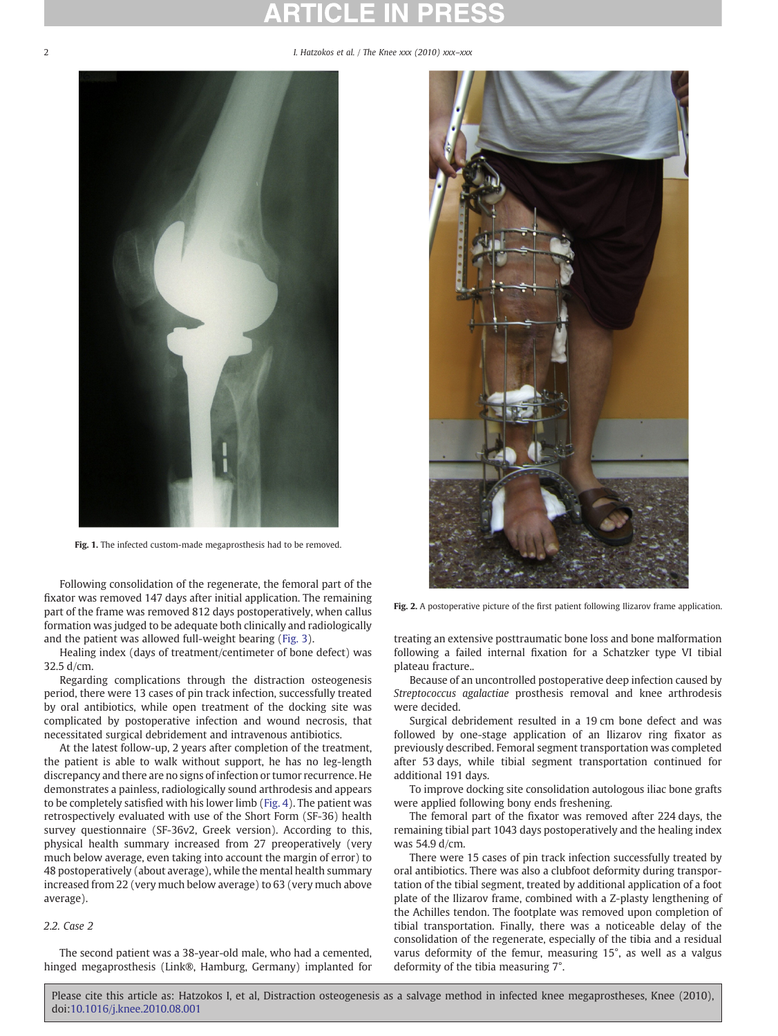<span id="page-1-0"></span>2 **I. Hatzokos et al. / The Knee xxx (2010) xxx–xxx** 



Fig. 1. The infected custom-made megaprosthesis had to be removed.

Following consolidation of the regenerate, the femoral part of the fixator was removed 147 days after initial application. The remaining part of the frame was removed 812 days postoperatively, when callus formation was judged to be adequate both clinically and radiologically and the patient was allowed full-weight bearing [\(Fig. 3\)](#page-2-0).

Healing index (days of treatment/centimeter of bone defect) was 32.5 d/cm.

Regarding complications through the distraction osteogenesis period, there were 13 cases of pin track infection, successfully treated by oral antibiotics, while open treatment of the docking site was complicated by postoperative infection and wound necrosis, that necessitated surgical debridement and intravenous antibiotics.

At the latest follow-up, 2 years after completion of the treatment, the patient is able to walk without support, he has no leg-length discrepancy and there are no signs of infection or tumor recurrence. He demonstrates a painless, radiologically sound arthrodesis and appears to be completely satisfied with his lower limb [\(Fig. 4\)](#page-2-0). The patient was retrospectively evaluated with use of the Short Form (SF-36) health survey questionnaire (SF-36v2, Greek version). According to this, physical health summary increased from 27 preoperatively (very much below average, even taking into account the margin of error) to 48 postoperatively (about average), while the mental health summary increased from 22 (very much below average) to 63 (very much above average).

### 2.2. Case 2

The second patient was a 38-year-old male, who had a cemented, hinged megaprosthesis (Link®, Hamburg, Germany) implanted for



Fig. 2. A postoperative picture of the first patient following Ilizarov frame application.

treating an extensive posttraumatic bone loss and bone malformation following a failed internal fixation for a Schatzker type VI tibial plateau fracture..

Because of an uncontrolled postoperative deep infection caused by Streptococcus agalactiae prosthesis removal and knee arthrodesis were decided.

Surgical debridement resulted in a 19 cm bone defect and was followed by one-stage application of an Ilizarov ring fixator as previously described. Femoral segment transportation was completed after 53 days, while tibial segment transportation continued for additional 191 days.

To improve docking site consolidation autologous iliac bone grafts were applied following bony ends freshening.

The femoral part of the fixator was removed after 224 days, the remaining tibial part 1043 days postoperatively and the healing index was 54.9 d/cm.

There were 15 cases of pin track infection successfully treated by oral antibiotics. There was also a clubfoot deformity during transportation of the tibial segment, treated by additional application of a foot plate of the Ilizarov frame, combined with a Z-plasty lengthening of the Achilles tendon. The footplate was removed upon completion of tibial transportation. Finally, there was a noticeable delay of the consolidation of the regenerate, especially of the tibia and a residual varus deformity of the femur, measuring 15°, as well as a valgus deformity of the tibia measuring 7°.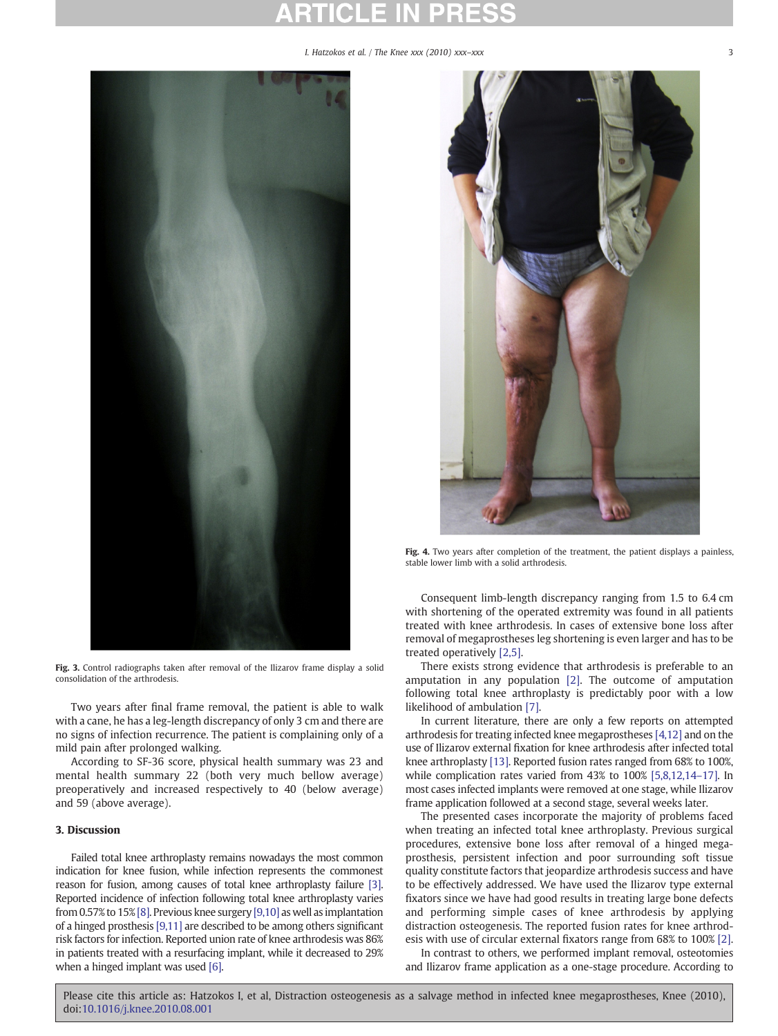I. Hatzokos et al. / The Knee xxx (2010) xxx-xxx

<span id="page-2-0"></span>

Fig. 3. Control radiographs taken after removal of the Ilizarov frame display a solid consolidation of the arthrodesis.

Two years after final frame removal, the patient is able to walk with a cane, he has a leg-length discrepancy of only 3 cm and there are no signs of infection recurrence. The patient is complaining only of a mild pain after prolonged walking.

According to SF-36 score, physical health summary was 23 and mental health summary 22 (both very much bellow average) preoperatively and increased respectively to 40 (below average) and 59 (above average).

### 3. Discussion

Failed total knee arthroplasty remains nowadays the most common indication for knee fusion, while infection represents the commonest reason for fusion, among causes of total knee arthroplasty failure [\[3\].](#page-3-0) Reported incidence of infection following total knee arthroplasty varies from 0.57% to 15%[\[8\]](#page-3-0). Previous knee surgery [\[9,10\]](#page-3-0) as well as implantation of a hinged prosthesis [\[9,11\]](#page-3-0) are described to be among others significant risk factors for infection. Reported union rate of knee arthrodesis was 86% in patients treated with a resurfacing implant, while it decreased to 29% when a hinged implant was used [\[6\]](#page-3-0).



Fig. 4. Two years after completion of the treatment, the patient displays a painless, stable lower limb with a solid arthrodesis.

Consequent limb-length discrepancy ranging from 1.5 to 6.4 cm with shortening of the operated extremity was found in all patients treated with knee arthrodesis. In cases of extensive bone loss after removal of megaprostheses leg shortening is even larger and has to be treated operatively [\[2,5\].](#page-3-0)

There exists strong evidence that arthrodesis is preferable to an amputation in any population [\[2\]](#page-3-0). The outcome of amputation following total knee arthroplasty is predictably poor with a low likelihood of ambulation [\[7\].](#page-3-0)

In current literature, there are only a few reports on attempted arthrodesis for treating infected knee megaprostheses [\[4,12\]](#page-3-0) and on the use of Ilizarov external fixation for knee arthrodesis after infected total knee arthroplasty [\[13\]](#page-3-0). Reported fusion rates ranged from 68% to 100%, while complication rates varied from 43% to 100% [\[5,8,12,14](#page-3-0)–17]. In most cases infected implants were removed at one stage, while Ilizarov frame application followed at a second stage, several weeks later.

The presented cases incorporate the majority of problems faced when treating an infected total knee arthroplasty. Previous surgical procedures, extensive bone loss after removal of a hinged megaprosthesis, persistent infection and poor surrounding soft tissue quality constitute factors that jeopardize arthrodesis success and have to be effectively addressed. We have used the Ilizarov type external fixators since we have had good results in treating large bone defects and performing simple cases of knee arthrodesis by applying distraction osteogenesis. The reported fusion rates for knee arthrodesis with use of circular external fixators range from 68% to 100% [\[2\].](#page-3-0)

In contrast to others, we performed implant removal, osteotomies and Ilizarov frame application as a one-stage procedure. According to

Please cite this article as: Hatzokos I, et al, Distraction osteogenesis as a salvage method in infected knee megaprostheses, Knee (2010), doi:[10.1016/j.knee.2010.08.001](http://dx.doi.org/10.1016/j.knee.2010.08.001)